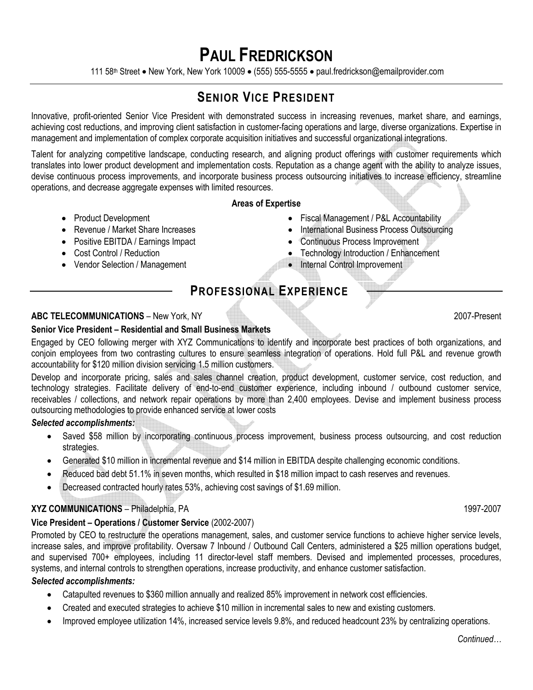# **PAUL FREDRICKSON**

111 58th Street • New York, New York 10009 • (555) 555-5555 • paul.fredrickson@emailprovider.com

# **SENIOR VICE PRESIDENT**

Innovative, profit-oriented Senior Vice President with demonstrated success in increasing revenues, market share, and earnings, achieving cost reductions, and improving client satisfaction in customer-facing operations and large, diverse organizations. Expertise in management and implementation of complex corporate acquisition initiatives and successful organizational integrations.

Talent for analyzing competitive landscape, conducting research, and aligning product offerings with customer requirements which translates into lower product development and implementation costs. Reputation as a change agent with the ability to analyze issues, devise continuous process improvements, and incorporate business process outsourcing initiatives to increase efficiency, streamline operations, and decrease aggregate expenses with limited resources.

#### **Areas of Expertise**

- Product Development
- Revenue / Market Share Increases
- Positive EBITDA / Earnings Impact
- Cost Control / Reduction
- Vendor Selection / Management
- Fiscal Management / P&L Accountability
- International Business Process Outsourcing
- Continuous Process Improvement
- Technology Introduction / Enhancement
- Internal Control Improvement

# **PROFESSIONAL EXPERIENCE**

# **ABC TELECOMMUNICATIONS** – New York, NY 2007-Present

# **Senior Vice President – Residential and Small Business Markets**

Engaged by CEO following merger with XYZ Communications to identify and incorporate best practices of both organizations, and conjoin employees from two contrasting cultures to ensure seamless integration of operations. Hold full P&L and revenue growth accountability for \$120 million division servicing 1.5 million customers.

Develop and incorporate pricing, sales and sales channel creation, product development, customer service, cost reduction, and technology strategies. Facilitate delivery of end-to-end customer experience, including inbound / outbound customer service, receivables / collections, and network repair operations by more than 2,400 employees. Devise and implement business process outsourcing methodologies to provide enhanced service at lower costs

#### *Selected accomplishments:*

- Saved \$58 million by incorporating continuous process improvement, business process outsourcing, and cost reduction strategies.
- Generated \$10 million in incremental revenue and \$14 million in EBITDA despite challenging economic conditions.
- Reduced bad debt 51.1% in seven months, which resulted in \$18 million impact to cash reserves and revenues.
- Decreased contracted hourly rates 53%, achieving cost savings of \$1.69 million.

# **XYZ COMMUNICATIONS** – Philadelphia, PA 1997-2007

# **Vice President – Operations / Customer Service** (2002-2007)

Promoted by CEO to restructure the operations management, sales, and customer service functions to achieve higher service levels, increase sales, and improve profitability. Oversaw 7 Inbound / Outbound Call Centers, administered a \$25 million operations budget, and supervised 700+ employees, including 11 director-level staff members. Devised and implemented processes, procedures, systems, and internal controls to strengthen operations, increase productivity, and enhance customer satisfaction.

#### *Selected accomplishments:*

- Catapulted revenues to \$360 million annually and realized 85% improvement in network cost efficiencies.
- Created and executed strategies to achieve \$10 million in incremental sales to new and existing customers.
- Improved employee utilization 14%, increased service levels 9.8%, and reduced headcount 23% by centralizing operations.

*Continued…*